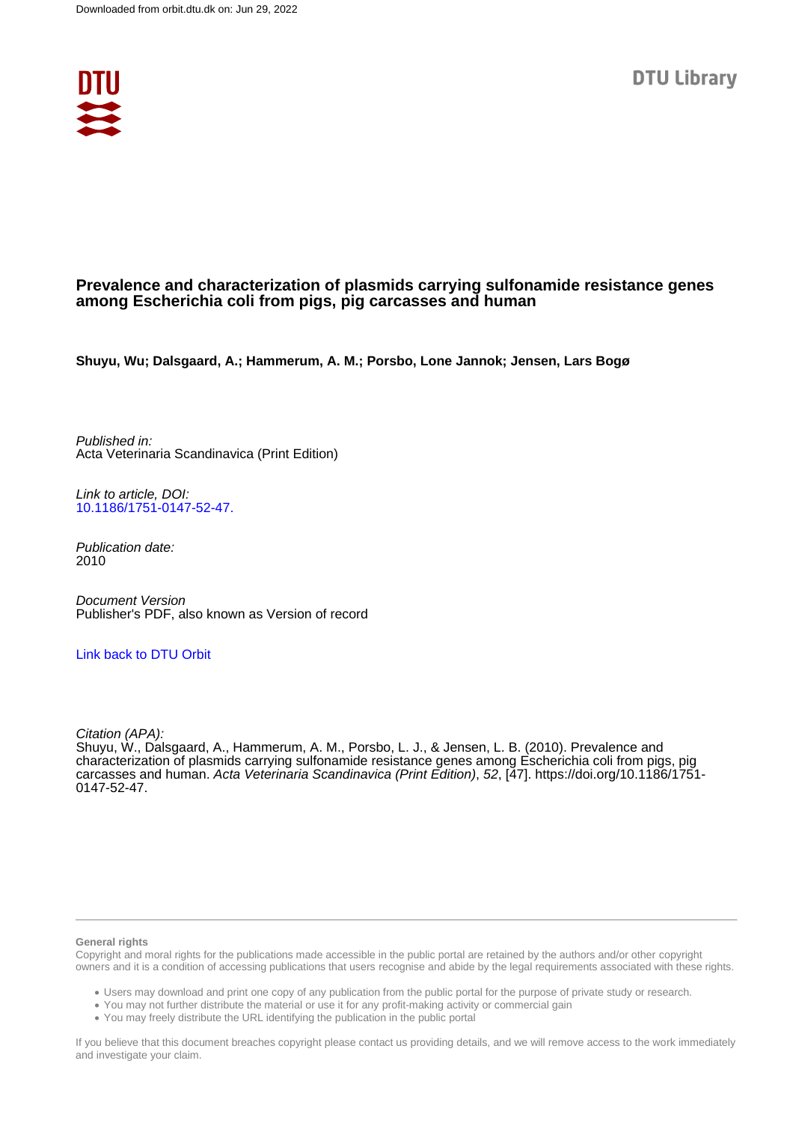

## **Prevalence and characterization of plasmids carrying sulfonamide resistance genes among Escherichia coli from pigs, pig carcasses and human**

**Shuyu, Wu; Dalsgaard, A.; Hammerum, A. M.; Porsbo, Lone Jannok; Jensen, Lars Bogø**

Published in: Acta Veterinaria Scandinavica (Print Edition)

Link to article, DOI: [10.1186/1751-0147-52-47.](https://doi.org/10.1186/1751-0147-52-47.)

Publication date: 2010

Document Version Publisher's PDF, also known as Version of record

[Link back to DTU Orbit](https://orbit.dtu.dk/en/publications/d740f2a5-1afe-49ec-bcb7-55534e6dc66e)

Citation (APA):

Shuyu, W., Dalsgaard, A., Hammerum, A. M., Porsbo, L. J., & Jensen, L. B. (2010). Prevalence and characterization of plasmids carrying sulfonamide resistance genes among Escherichia coli from pigs, pig carcasses and human. Acta Veterinaria Scandinavica (Print Edition), 52, [47]. [https://doi.org/10.1186/1751-](https://doi.org/10.1186/1751-0147-52-47.) [0147-52-47.](https://doi.org/10.1186/1751-0147-52-47.)

#### **General rights**

Copyright and moral rights for the publications made accessible in the public portal are retained by the authors and/or other copyright owners and it is a condition of accessing publications that users recognise and abide by the legal requirements associated with these rights.

Users may download and print one copy of any publication from the public portal for the purpose of private study or research.

- You may not further distribute the material or use it for any profit-making activity or commercial gain
- You may freely distribute the URL identifying the publication in the public portal

If you believe that this document breaches copyright please contact us providing details, and we will remove access to the work immediately and investigate your claim.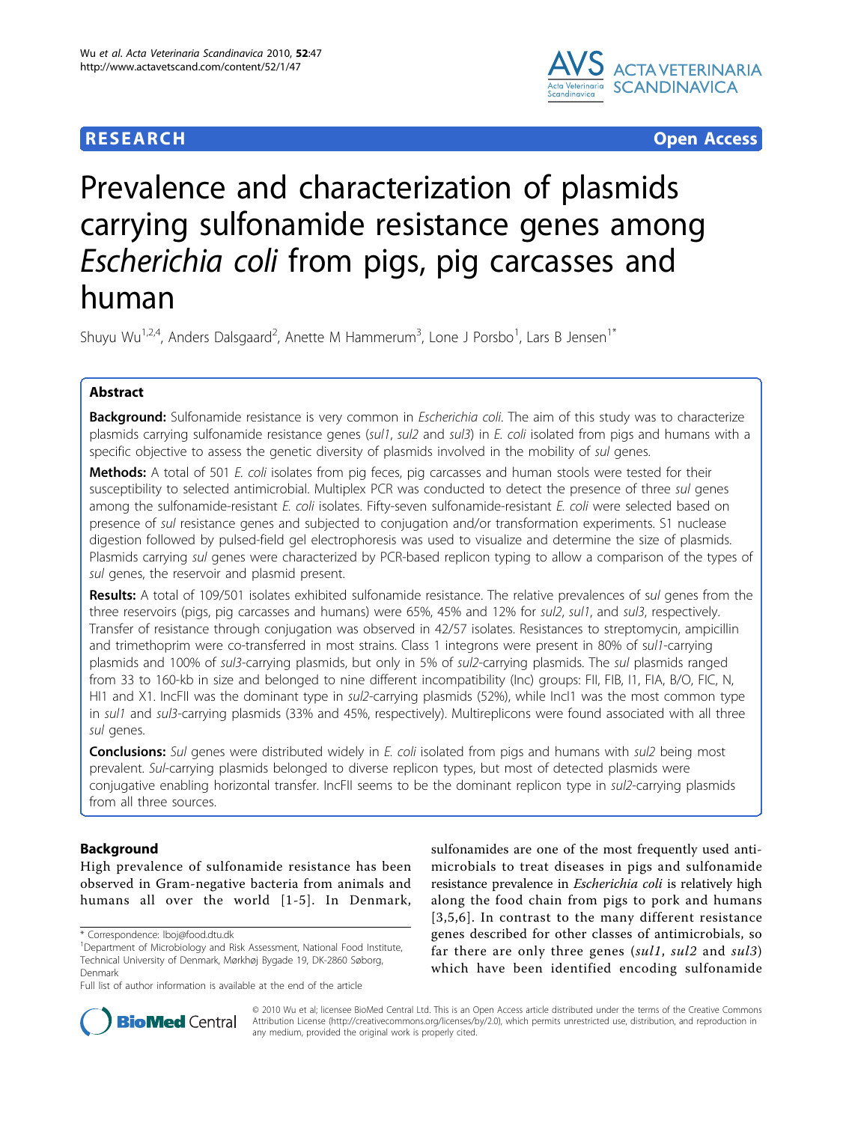## **RESEARCH CONTROL** CONTROL CONTROL CONTROL CONTROL CONTROL CONTROL CONTROL CONTROL CONTROL CONTROL CONTROL CONTROL CONTROL CONTROL CONTROL CONTROL CONTROL CONTROL CONTROL CONTROL CONTROL CONTROL CONTROL CONTROL CONTROL CON



# Prevalence and characterization of plasmids carrying sulfonamide resistance genes among Escherichia coli from pigs, pig carcasses and human

Shuyu Wu<sup>1,2,4</sup>, Anders Dalsgaard<sup>2</sup>, Anette M Hammerum<sup>3</sup>, Lone J Porsbo<sup>1</sup>, Lars B Jensen<sup>1\*</sup>

## Abstract

**Background:** Sulfonamide resistance is very common in *Escherichia coli*. The aim of this study was to characterize plasmids carrying sulfonamide resistance genes (sul1, sul2 and sul3) in E. coli isolated from pigs and humans with a specific objective to assess the genetic diversity of plasmids involved in the mobility of sul genes.

Methods: A total of 501 E. coli isolates from pig feces, pig carcasses and human stools were tested for their susceptibility to selected antimicrobial. Multiplex PCR was conducted to detect the presence of three sul genes among the sulfonamide-resistant E. coli isolates. Fifty-seven sulfonamide-resistant E. coli were selected based on presence of sul resistance genes and subjected to conjugation and/or transformation experiments. S1 nuclease digestion followed by pulsed-field gel electrophoresis was used to visualize and determine the size of plasmids. Plasmids carrying sul genes were characterized by PCR-based replicon typing to allow a comparison of the types of sul genes, the reservoir and plasmid present.

Results: A total of 109/501 isolates exhibited sulfonamide resistance. The relative prevalences of sul genes from the three reservoirs (pigs, pig carcasses and humans) were 65%, 45% and 12% for sul2, sul1, and sul3, respectively. Transfer of resistance through conjugation was observed in 42/57 isolates. Resistances to streptomycin, ampicillin and trimethoprim were co-transferred in most strains. Class 1 integrons were present in 80% of sul1-carrying plasmids and 100% of sul3-carrying plasmids, but only in 5% of sul2-carrying plasmids. The sul plasmids ranged from 33 to 160-kb in size and belonged to nine different incompatibility (Inc) groups: FII, FIB, I1, FIA, B/O, FIC, N, HI1 and X1. IncFII was the dominant type in sul2-carrying plasmids (52%), while IncI1 was the most common type in sul1 and sul3-carrying plasmids (33% and 45%, respectively). Multireplicons were found associated with all three sul genes.

**Conclusions:** Sul genes were distributed widely in E. coli isolated from pigs and humans with sul2 being most prevalent. Sul-carrying plasmids belonged to diverse replicon types, but most of detected plasmids were conjugative enabling horizontal transfer. IncFII seems to be the dominant replicon type in sul2-carrying plasmids from all three sources.

## Background

High prevalence of sulfonamide resistance has been observed in Gram-negative bacteria from animals and humans all over the world [[1](#page-7-0)-[5\]](#page-7-0). In Denmark,

\* Correspondence: [lboj@food.dtu.dk](mailto:lboj@food.dtu.dk)

sulfonamides are one of the most frequently used antimicrobials to treat diseases in pigs and sulfonamide resistance prevalence in Escherichia coli is relatively high along the food chain from pigs to pork and humans [[3,5,6\]](#page-7-0). In contrast to the many different resistance genes described for other classes of antimicrobials, so far there are only three genes (sul1, sul2 and sul3) which have been identified encoding sulfonamide



© 2010 Wu et al; licensee BioMed Central Ltd. This is an Open Access article distributed under the terms of the Creative Commons Attribution License [\(http://creativecommons.org/licenses/by/2.0](http://creativecommons.org/licenses/by/2.0)), which permits unrestricted use, distribution, and reproduction in any medium, provided the original work is properly cited.

<sup>&</sup>lt;sup>1</sup>Department of Microbiology and Risk Assessment, National Food Institute, Technical University of Denmark, Mørkhøj Bygade 19, DK-2860 Søborg, Denmark

Full list of author information is available at the end of the article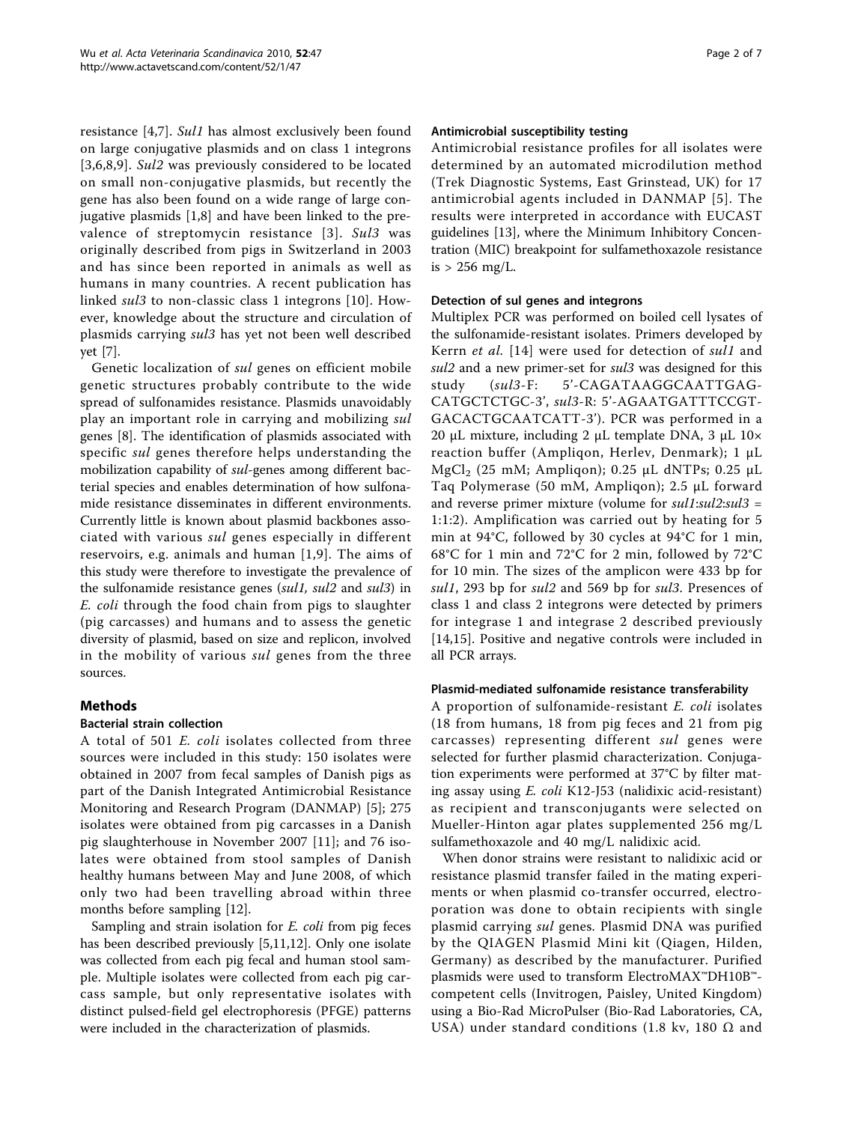resistance [\[4,7](#page-7-0)]. Sul1 has almost exclusively been found on large conjugative plasmids and on class 1 integrons [[3](#page-7-0),[6,8,9\]](#page-7-0). Sul2 was previously considered to be located on small non-conjugative plasmids, but recently the gene has also been found on a wide range of large conjugative plasmids [[1,8\]](#page-7-0) and have been linked to the prevalence of streptomycin resistance [[3](#page-7-0)]. Sul3 was originally described from pigs in Switzerland in 2003 and has since been reported in animals as well as humans in many countries. A recent publication has linked sul3 to non-classic class 1 integrons [[10\]](#page-7-0). However, knowledge about the structure and circulation of plasmids carrying sul3 has yet not been well described yet [[7\]](#page-7-0).

Genetic localization of sul genes on efficient mobile genetic structures probably contribute to the wide spread of sulfonamides resistance. Plasmids unavoidably play an important role in carrying and mobilizing sul genes [\[8\]](#page-7-0). The identification of plasmids associated with specific sul genes therefore helps understanding the mobilization capability of sul-genes among different bacterial species and enables determination of how sulfonamide resistance disseminates in different environments. Currently little is known about plasmid backbones associated with various sul genes especially in different reservoirs, e.g. animals and human [[1](#page-7-0),[9\]](#page-7-0). The aims of this study were therefore to investigate the prevalence of the sulfonamide resistance genes (sul1, sul2 and sul3) in E. coli through the food chain from pigs to slaughter (pig carcasses) and humans and to assess the genetic diversity of plasmid, based on size and replicon, involved in the mobility of various *sul* genes from the three sources.

## Methods

## Bacterial strain collection

A total of 501 E. coli isolates collected from three sources were included in this study: 150 isolates were obtained in 2007 from fecal samples of Danish pigs as part of the Danish Integrated Antimicrobial Resistance Monitoring and Research Program (DANMAP) [[5\]](#page-7-0); 275 isolates were obtained from pig carcasses in a Danish pig slaughterhouse in November 2007 [\[11](#page-7-0)]; and 76 isolates were obtained from stool samples of Danish healthy humans between May and June 2008, of which only two had been travelling abroad within three months before sampling [\[12](#page-7-0)].

Sampling and strain isolation for E. coli from pig feces has been described previously [[5,11,12\]](#page-7-0). Only one isolate was collected from each pig fecal and human stool sample. Multiple isolates were collected from each pig carcass sample, but only representative isolates with distinct pulsed-field gel electrophoresis (PFGE) patterns were included in the characterization of plasmids.

#### Antimicrobial susceptibility testing

Antimicrobial resistance profiles for all isolates were determined by an automated microdilution method (Trek Diagnostic Systems, East Grinstead, UK) for 17 antimicrobial agents included in DANMAP [\[5\]](#page-7-0). The results were interpreted in accordance with EUCAST guidelines [\[13\]](#page-7-0), where the Minimum Inhibitory Concentration (MIC) breakpoint for sulfamethoxazole resistance is  $> 256$  mg/L.

#### Detection of sul genes and integrons

Multiplex PCR was performed on boiled cell lysates of the sulfonamide-resistant isolates. Primers developed by Kerrn et al. [\[14\]](#page-7-0) were used for detection of sul1 and sul2 and a new primer-set for sul3 was designed for this study (sul3-F: 5'-CAGATAAGGCAATTGAG-CATGCTCTGC-3', sul3-R: 5'-AGAATGATTTCCGT-GACACTGCAATCATT-3'). PCR was performed in a 20 μL mixture, including 2 μL template DNA, 3 μL 10× reaction buffer (Ampliqon, Herlev, Denmark); 1 μL  $MgCl<sub>2</sub>$  (25 mM; Ampliqon); 0.25 μL dNTPs; 0.25 μL Taq Polymerase (50 mM, Ampliqon); 2.5 μL forward and reverse primer mixture (volume for  $sullsull2:sull3 =$ 1:1:2). Amplification was carried out by heating for 5 min at 94°C, followed by 30 cycles at 94°C for 1 min, 68°C for 1 min and 72°C for 2 min, followed by 72°C for 10 min. The sizes of the amplicon were 433 bp for sul1, 293 bp for sul2 and 569 bp for sul3. Presences of class 1 and class 2 integrons were detected by primers for integrase 1 and integrase 2 described previously [[14,15](#page-7-0)]. Positive and negative controls were included in all PCR arrays.

#### Plasmid-mediated sulfonamide resistance transferability

A proportion of sulfonamide-resistant E. coli isolates (18 from humans, 18 from pig feces and 21 from pig carcasses) representing different sul genes were selected for further plasmid characterization. Conjugation experiments were performed at 37°C by filter mating assay using E. coli K12-J53 (nalidixic acid-resistant) as recipient and transconjugants were selected on Mueller-Hinton agar plates supplemented 256 mg/L sulfamethoxazole and 40 mg/L nalidixic acid.

When donor strains were resistant to nalidixic acid or resistance plasmid transfer failed in the mating experiments or when plasmid co-transfer occurred, electroporation was done to obtain recipients with single plasmid carrying sul genes. Plasmid DNA was purified by the QIAGEN Plasmid Mini kit (Qiagen, Hilden, Germany) as described by the manufacturer. Purified plasmids were used to transform ElectroMAX™DH10B™ competent cells (Invitrogen, Paisley, United Kingdom) using a Bio-Rad MicroPulser (Bio-Rad Laboratories, CA, USA) under standard conditions (1.8 kv, 180  $\Omega$  and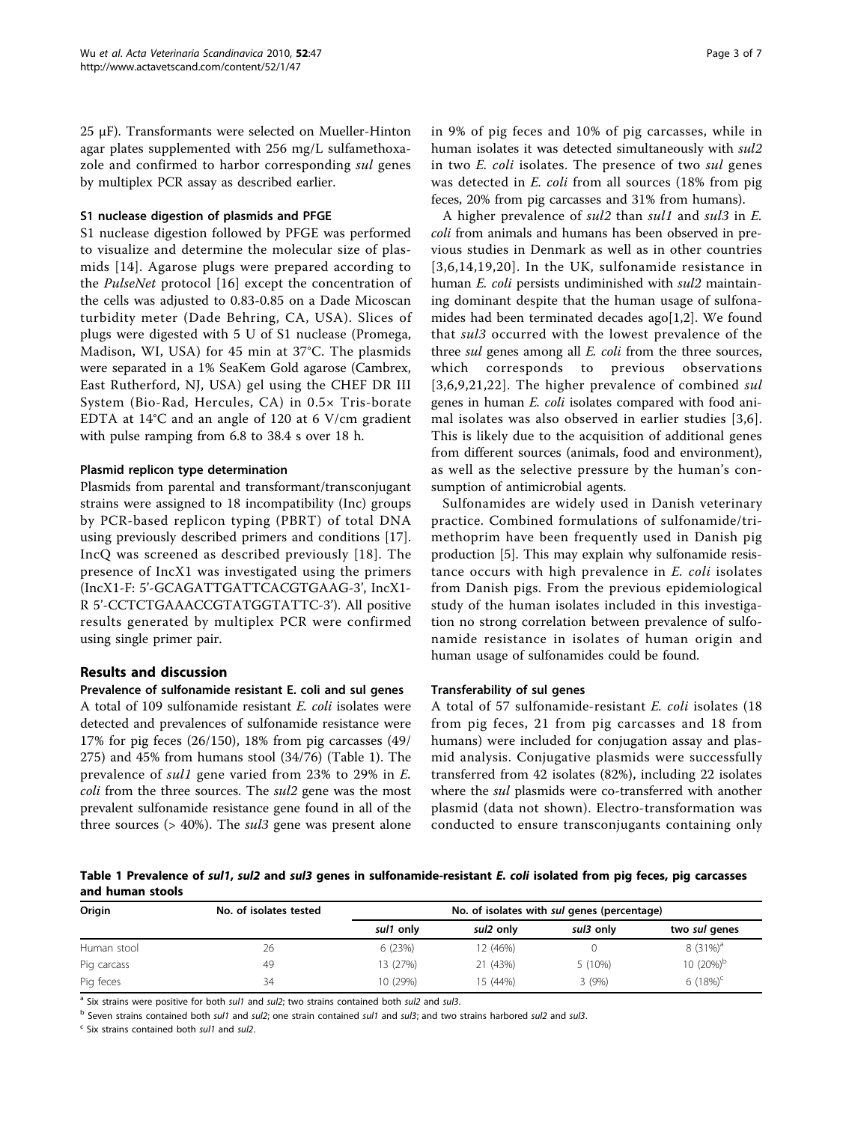25 μF). Transformants were selected on Mueller-Hinton agar plates supplemented with 256 mg/L sulfamethoxazole and confirmed to harbor corresponding sul genes by multiplex PCR assay as described earlier.

#### S1 nuclease digestion of plasmids and PFGE

S1 nuclease digestion followed by PFGE was performed to visualize and determine the molecular size of plasmids [[14](#page-7-0)]. Agarose plugs were prepared according to the PulseNet protocol [[16](#page-7-0)] except the concentration of the cells was adjusted to 0.83-0.85 on a Dade Micoscan turbidity meter (Dade Behring, CA, USA). Slices of plugs were digested with 5 U of S1 nuclease (Promega, Madison, WI, USA) for 45 min at 37°C. The plasmids were separated in a 1% SeaKem Gold agarose (Cambrex, East Rutherford, NJ, USA) gel using the CHEF DR III System (Bio-Rad, Hercules, CA) in 0.5× Tris-borate EDTA at 14°C and an angle of 120 at 6 V/cm gradient with pulse ramping from 6.8 to 38.4 s over 18 h.

## Plasmid replicon type determination

Plasmids from parental and transformant/transconjugant strains were assigned to 18 incompatibility (Inc) groups by PCR-based replicon typing (PBRT) of total DNA using previously described primers and conditions [\[17](#page-7-0)]. IncQ was screened as described previously [[18](#page-7-0)]. The presence of IncX1 was investigated using the primers (IncX1-F: 5'-GCAGATTGATTCACGTGAAG-3', IncX1- R 5'-CCTCTGAAACCGTATGGTATTC-3'). All positive results generated by multiplex PCR were confirmed using single primer pair.

## Results and discussion

#### Prevalence of sulfonamide resistant E. coli and sul genes

A total of 109 sulfonamide resistant E. coli isolates were detected and prevalences of sulfonamide resistance were 17% for pig feces (26/150), 18% from pig carcasses (49/ 275) and 45% from humans stool (34/76) (Table 1). The prevalence of sul1 gene varied from 23% to 29% in E. coli from the three sources. The sul2 gene was the most prevalent sulfonamide resistance gene found in all of the three sources ( $> 40\%$ ). The *sul3* gene was present alone in 9% of pig feces and 10% of pig carcasses, while in human isolates it was detected simultaneously with  $sul2$ in two E. coli isolates. The presence of two sul genes was detected in E. coli from all sources (18% from pig feces, 20% from pig carcasses and 31% from humans).

A higher prevalence of sul2 than sul1 and sul3 in E. coli from animals and humans has been observed in previous studies in Denmark as well as in other countries [[3,6,14,19](#page-7-0),[20\]](#page-7-0). In the UK, sulfonamide resistance in human E. coli persists undiminished with sul2 maintaining dominant despite that the human usage of sulfonamides had been terminated decades ago[[1,2\]](#page-7-0). We found that sul3 occurred with the lowest prevalence of the three *sul* genes among all *E. coli* from the three sources, which corresponds to previous observations [[3](#page-7-0),[6](#page-7-0),[9,21,22\]](#page-7-0). The higher prevalence of combined sul genes in human E. coli isolates compared with food animal isolates was also observed in earlier studies [\[3](#page-7-0),[6](#page-7-0)]. This is likely due to the acquisition of additional genes from different sources (animals, food and environment), as well as the selective pressure by the human's consumption of antimicrobial agents.

Sulfonamides are widely used in Danish veterinary practice. Combined formulations of sulfonamide/trimethoprim have been frequently used in Danish pig production [\[5](#page-7-0)]. This may explain why sulfonamide resistance occurs with high prevalence in E. coli isolates from Danish pigs. From the previous epidemiological study of the human isolates included in this investigation no strong correlation between prevalence of sulfonamide resistance in isolates of human origin and human usage of sulfonamides could be found.

#### Transferability of sul genes

A total of 57 sulfonamide-resistant E. coli isolates (18 from pig feces, 21 from pig carcasses and 18 from humans) were included for conjugation assay and plasmid analysis. Conjugative plasmids were successfully transferred from 42 isolates (82%), including 22 isolates where the *sul* plasmids were co-transferred with another plasmid (data not shown). Electro-transformation was conducted to ensure transconjugants containing only

Table 1 Prevalence of sul1, sul2 and sul3 genes in sulfonamide-resistant E. coli isolated from pig feces, pig carcasses and human stools

| Origin      | No. of isolates tested | No. of isolates with sul genes (percentage) |                       |           |                     |  |
|-------------|------------------------|---------------------------------------------|-----------------------|-----------|---------------------|--|
|             |                        | sul1 only                                   | sul <sub>2</sub> only | sul3 only | two sul genes       |  |
| Human stool | 26                     | 6(23%)                                      | 12 (46%)              |           | $8(31\%)^a$         |  |
| Pig carcass | 49                     | 13 (27%)                                    | 21 (43%)              | 5(10%)    | 10 $(20\%)^{\rm b}$ |  |
| Pig feces   | 34                     | 10 (29%)                                    | 15 (44%)              | 3(9%)     | 6 $(18%)^c$         |  |

 $a$  Six strains were positive for both sul1 and sul2; two strains contained both sul2 and sul3.

 $<sup>b</sup>$  Seven strains contained both sul1 and sul2; one strain contained sul1 and sul3; and two strains harbored sul2 and sul3.</sup>

 $\epsilon$  Six strains contained both sull and sull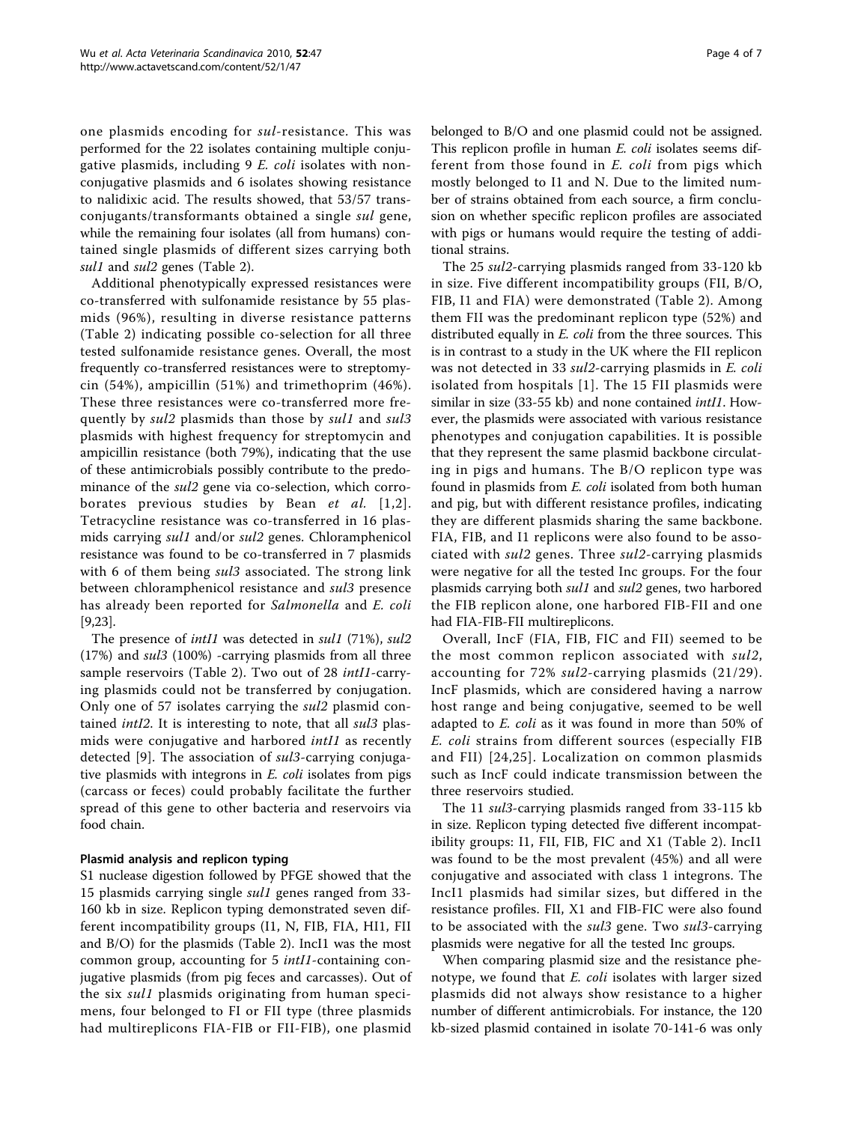one plasmids encoding for sul-resistance. This was performed for the 22 isolates containing multiple conjugative plasmids, including 9 E. coli isolates with nonconjugative plasmids and 6 isolates showing resistance to nalidixic acid. The results showed, that 53/57 transconjugants/transformants obtained a single sul gene, while the remaining four isolates (all from humans) contained single plasmids of different sizes carrying both sul1 and sul2 genes (Table [2](#page-5-0)).

Additional phenotypically expressed resistances were co-transferred with sulfonamide resistance by 55 plasmids (96%), resulting in diverse resistance patterns (Table [2\)](#page-5-0) indicating possible co-selection for all three tested sulfonamide resistance genes. Overall, the most frequently co-transferred resistances were to streptomycin (54%), ampicillin (51%) and trimethoprim (46%). These three resistances were co-transferred more frequently by sul2 plasmids than those by sul1 and sul3 plasmids with highest frequency for streptomycin and ampicillin resistance (both 79%), indicating that the use of these antimicrobials possibly contribute to the predominance of the sul2 gene via co-selection, which corroborates previous studies by Bean et al. [[1,2\]](#page-7-0). Tetracycline resistance was co-transferred in 16 plasmids carrying sul1 and/or sul2 genes. Chloramphenicol resistance was found to be co-transferred in 7 plasmids with 6 of them being *sul3* associated. The strong link between chloramphenicol resistance and sul<sub>3</sub> presence has already been reported for Salmonella and E. coli [[9,23\]](#page-7-0).

The presence of *intI1* was detected in *sul1* (71%), *sul2* (17%) and sul3 (100%) -carrying plasmids from all three sample reservoirs (Table [2\)](#page-5-0). Two out of 28 intI1-carrying plasmids could not be transferred by conjugation. Only one of 57 isolates carrying the sul2 plasmid contained *intI2*. It is interesting to note, that all *sul3* plasmids were conjugative and harbored intI1 as recently detected [[9](#page-7-0)]. The association of sul3-carrying conjugative plasmids with integrons in E. coli isolates from pigs (carcass or feces) could probably facilitate the further spread of this gene to other bacteria and reservoirs via food chain.

## Plasmid analysis and replicon typing

S1 nuclease digestion followed by PFGE showed that the 15 plasmids carrying single sul1 genes ranged from 33- 160 kb in size. Replicon typing demonstrated seven different incompatibility groups (I1, N, FIB, FIA, HI1, FII and B/O) for the plasmids (Table [2\)](#page-5-0). IncI1 was the most common group, accounting for 5 intI1-containing conjugative plasmids (from pig feces and carcasses). Out of the six sul1 plasmids originating from human specimens, four belonged to FI or FII type (three plasmids had multireplicons FIA-FIB or FII-FIB), one plasmid belonged to B/O and one plasmid could not be assigned. This replicon profile in human E. coli isolates seems different from those found in E. coli from pigs which mostly belonged to I1 and N. Due to the limited number of strains obtained from each source, a firm conclusion on whether specific replicon profiles are associated with pigs or humans would require the testing of additional strains.

The 25 sul2-carrying plasmids ranged from 33-120 kb in size. Five different incompatibility groups (FII, B/O, FIB, I1 and FIA) were demonstrated (Table [2\)](#page-5-0). Among them FII was the predominant replicon type (52%) and distributed equally in *E. coli* from the three sources. This is in contrast to a study in the UK where the FII replicon was not detected in 33 sul2-carrying plasmids in E. coli isolated from hospitals [[1](#page-7-0)]. The 15 FII plasmids were similar in size (33-55 kb) and none contained *intI1*. However, the plasmids were associated with various resistance phenotypes and conjugation capabilities. It is possible that they represent the same plasmid backbone circulating in pigs and humans. The B/O replicon type was found in plasmids from E. coli isolated from both human and pig, but with different resistance profiles, indicating they are different plasmids sharing the same backbone. FIA, FIB, and I1 replicons were also found to be associated with sul2 genes. Three sul2-carrying plasmids were negative for all the tested Inc groups. For the four plasmids carrying both sul1 and sul2 genes, two harbored the FIB replicon alone, one harbored FIB-FII and one had FIA-FIB-FII multireplicons.

Overall, IncF (FIA, FIB, FIC and FII) seemed to be the most common replicon associated with sul2, accounting for 72% sul2-carrying plasmids (21/29). IncF plasmids, which are considered having a narrow host range and being conjugative, seemed to be well adapted to *E. coli* as it was found in more than 50% of E. coli strains from different sources (especially FIB and FII) [[24,25](#page-7-0)]. Localization on common plasmids such as IncF could indicate transmission between the three reservoirs studied.

The 11 sul3-carrying plasmids ranged from 33-115 kb in size. Replicon typing detected five different incompatibility groups: I1, FII, FIB, FIC and X1 (Table [2\)](#page-5-0). IncI1 was found to be the most prevalent (45%) and all were conjugative and associated with class 1 integrons. The IncI1 plasmids had similar sizes, but differed in the resistance profiles. FII, X1 and FIB-FIC were also found to be associated with the *sul3* gene. Two *sul3*-carrying plasmids were negative for all the tested Inc groups.

When comparing plasmid size and the resistance phenotype, we found that E. coli isolates with larger sized plasmids did not always show resistance to a higher number of different antimicrobials. For instance, the 120 kb-sized plasmid contained in isolate 70-141-6 was only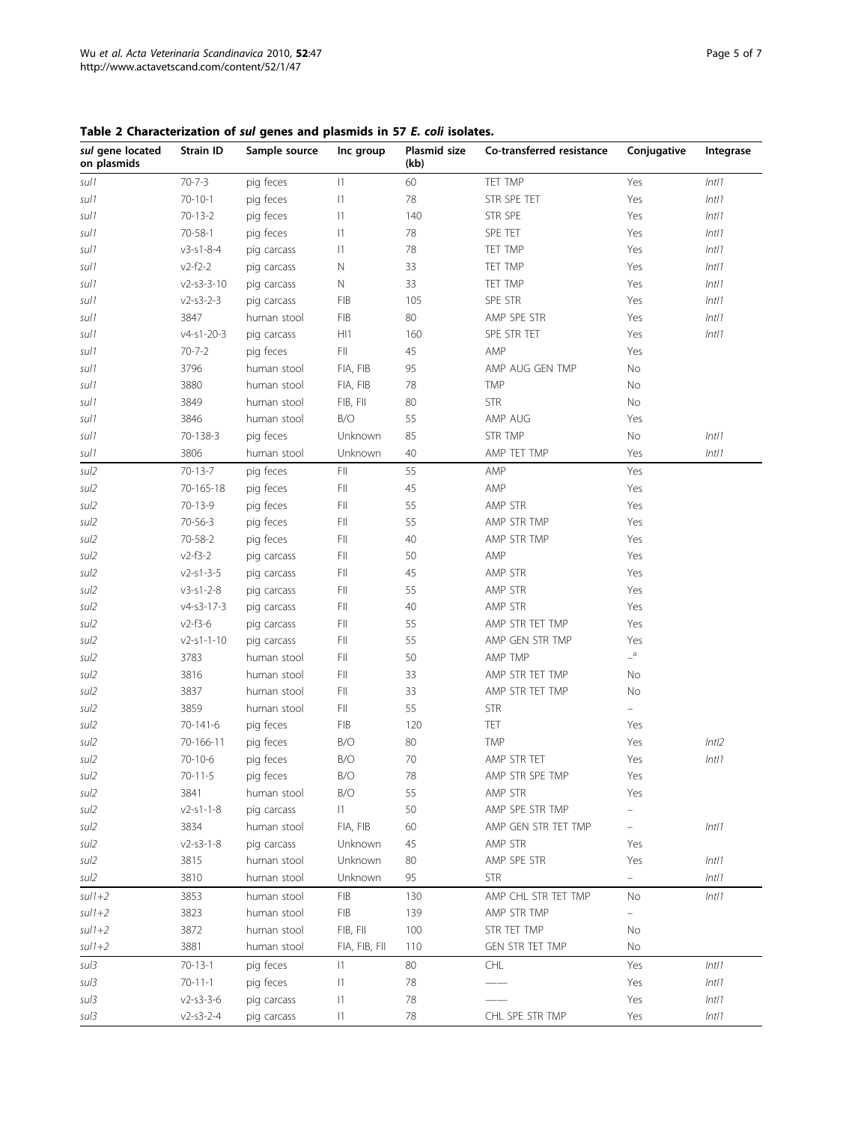<span id="page-5-0"></span>Table 2 Characterization of sul genes and plasmids in 57 E. coli isolates.

| sul gene located<br>on plasmids | Strain ID          | Sample source | Inc group              | Plasmid size<br>(kb) | Co-transferred resistance             | Conjugative       | Integrase |
|---------------------------------|--------------------|---------------|------------------------|----------------------|---------------------------------------|-------------------|-----------|
| sul 1                           | $70 - 7 - 3$       | pig feces     | $ 1\rangle$            | 60                   | TET TMP                               | Yes               | Int11     |
| sul 1                           | $70 - 10 - 1$      | pig feces     | 1                      | 78                   | STR SPE TET                           | Yes               | Int11     |
| sul 1                           | $70 - 13 - 2$      | pig feces     | 1                      | 140                  | STR SPE                               | Yes               | Int11     |
| sul 1                           | $70 - 58 - 1$      | pig feces     | 1                      | 78                   | SPE TET                               | Yes               | Int11     |
| sul 1                           | $v3 - s1 - 8 - 4$  | pig carcass   | 1                      | 78                   | TET TMP                               | Yes               | Int11     |
| sul 1                           | $v2-f2-2$          | pig carcass   | N                      | 33                   | TET TMP                               | Yes               | Int11     |
| sul 1                           | $v2 - s3 - 3 - 10$ | pig carcass   | Ν                      | 33                   | TET TMP                               | Yes               | Int11     |
| sul 1                           | $v2 - s3 - 2 - 3$  | pig carcass   | <b>FIB</b>             | 105                  | SPE STR                               | Yes               | Int11     |
| sul 1                           | 3847               | human stool   | <b>FIB</b>             | 80                   | AMP SPE STR                           | Yes               | Int11     |
| sul 1                           | $v4 - s1 - 20 - 3$ | pig carcass   | HI1                    | 160                  | SPE STR TET                           | Yes               | Int11     |
| sul 1                           | $70 - 7 - 2$       | pig feces     | FII                    | 45                   | AMP                                   | Yes               |           |
| sul 1                           | 3796               | human stool   | FIA, FIB               | 95                   | AMP AUG GEN TMP                       | No                |           |
| sul 1                           | 3880               | human stool   | FIA, FIB               | 78                   | <b>TMP</b>                            | No                |           |
| sul 1                           | 3849               | human stool   | FIB, FII               | 80                   | <b>STR</b>                            | No                |           |
| sul 1                           | 3846               | human stool   | B/O                    | 55                   | AMP AUG                               | Yes               |           |
| sul 1                           | 70-138-3           | pig feces     | Unknown                | 85                   | STR TMP                               | No                | Int11     |
| sul1                            | 3806               | human stool   | Unknown                | 40                   | AMP TET TMP                           | Yes               | Int11     |
| sul <sub>2</sub>                | $70 - 13 - 7$      | pig feces     | FII.                   | 55                   | AMP                                   | Yes               |           |
| sul <sub>2</sub>                | 70-165-18          | pig feces     | FII.                   | 45                   | AMP                                   | Yes               |           |
| sul2                            | $70 - 13 - 9$      | pig feces     | FII                    | 55                   | AMP STR                               | Yes               |           |
| sul2                            | $70 - 56 - 3$      | pig feces     | FII                    | 55                   | AMP STR TMP                           | Yes               |           |
| sul2                            | 70-58-2            | pig feces     | FII                    | 40                   | AMP STR TMP                           | Yes               |           |
| sul2                            | $v2-f3-2$          | pig carcass   | FII                    | 50                   | AMP                                   | Yes               |           |
| sul2                            | $v2 - s1 - 3 - 5$  | pig carcass   | FII                    | 45                   | AMP STR                               | Yes               |           |
| sul2                            | $v3 - s1 - 2 - 8$  | pig carcass   | FII                    | 55                   | AMP STR                               | Yes               |           |
| sul2                            | $v4 - s3 - 17 - 3$ | pig carcass   | FII                    | 40                   | AMP STR                               | Yes               |           |
| sul2                            | $v2-f3-6$          | pig carcass   | FII                    | 55                   | AMP STR TET TMP                       | Yes               |           |
| sul2                            | $v2 - s1 - 1 - 10$ | pig carcass   | FII                    | 55                   | AMP GEN STR TMP                       | Yes               |           |
| sul2                            | 3783               | human stool   | FII                    | 50                   | AMP TMP                               | $a_{-}$           |           |
| sul2                            | 3816               | human stool   | FII                    | 33                   | AMP STR TET TMP                       | No                |           |
| sul <sub>2</sub>                | 3837               | human stool   | FII                    | 33                   | AMP STR TET TMP                       | No                |           |
| sul2                            | 3859               | human stool   | FII                    | 55                   | <b>STR</b>                            | $\qquad \qquad -$ |           |
| sul2                            | 70-141-6           | pig feces     | FIB                    | 120                  | TET                                   | Yes               |           |
| sul <sub>2</sub>                | 70-166-11          | pig feces     | B/O                    | 80                   | <b>TMP</b>                            | Yes               | Int12     |
| sul <sub>2</sub>                | $70 - 10 - 6$      | pig feces     | B/O                    | 70                   | AMP STR TET                           | Yes               | Int11     |
| sul <sub>2</sub>                | $70 - 11 - 5$      | pig feces     | B/O                    | 78                   | AMP STR SPE TMP                       | Yes               |           |
| sul2                            | 3841               | human stool   | B/O                    | 55                   | AMP STR                               | Yes               |           |
| sul2                            | $v2 - s1 - 1 - 8$  | pig carcass   | $\vert$ 1              | 50                   | AMP SPE STR TMP                       |                   |           |
| sul2                            | 3834               | human stool   | FIA, FIB               | 60                   | AMP GEN STR TET TMP                   |                   | Int11     |
| sul2                            | $v2 - s3 - 1 - 8$  | pig carcass   | Unknown                | 45                   | AMP STR                               | Yes               |           |
| sul2                            | 3815               | human stool   | Unknown                | 80                   | AMP SPE STR                           | Yes               | Int11     |
| sul2                            | 3810               | human stool   | Unknown                | 95                   | <b>STR</b>                            | -                 | Int11     |
| $s$ ul $1+2$                    | 3853               | human stool   | <b>FIB</b>             | 130                  | AMP CHL STR TET TMP                   | No                | Int11     |
| $s$ ul1+2                       | 3823               | human stool   | <b>FIB</b><br>FIB, FII | 139                  | AMP STR TMP                           | $\equiv$          |           |
| $s$ ul1+2                       | 3872               | human stool   |                        | 100                  | STR TET TMP<br><b>GEN STR TET TMP</b> | No                |           |
| $s$ ul1+2                       | 3881               | human stool   | FIA, FIB, FII          | 110                  |                                       | No                |           |
| sul3                            | $70 - 13 - 1$      | pig feces     | $ 1\rangle$            | 80                   | CHL                                   | Yes               | Int11     |
| sul3                            | $70 - 11 - 1$      | pig feces     | 1                      | 78                   |                                       | Yes               | Int11     |
| sul3                            | $v2 - s3 - 3 - 6$  | pig carcass   | 1                      | 78                   |                                       | Yes               | Int11     |
| sul3                            | $v2 - s3 - 2 - 4$  | pig carcass   | 1                      | 78                   | CHL SPE STR TMP                       | Yes               | Int11     |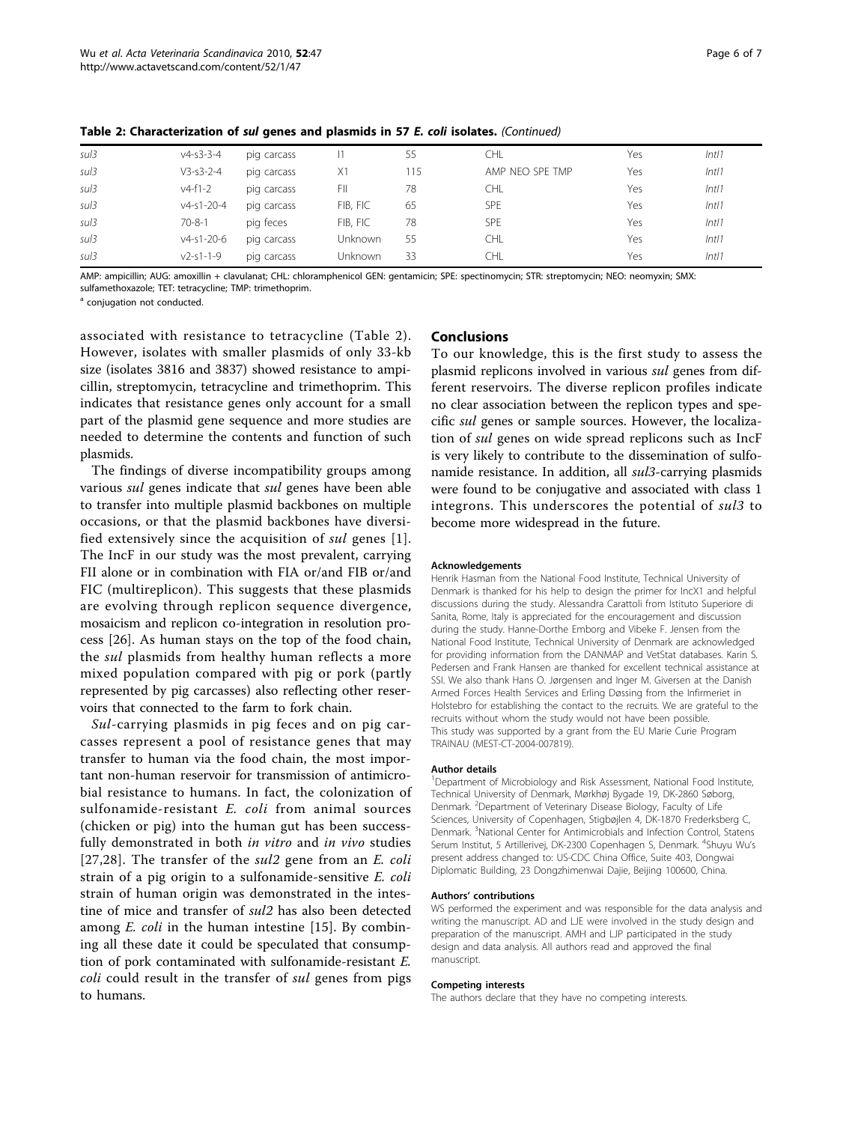| sul3 | $v4 - s3 - 3 - 4$  | pig carcass |                | 55  | CHL             | Yes | Int11 |
|------|--------------------|-------------|----------------|-----|-----------------|-----|-------|
| sul3 | $V3 - s3 - 2 - 4$  | pig carcass | X1             | 115 | AMP NFO SPF TMP | Yes | Int11 |
| sul3 | $v4-f1-2$          | pig carcass | FII            | 78  | CHL.            | Yes | Int11 |
| sul3 | $v4 - s1 - 20 - 4$ | pig carcass | FIB, FIC       | 65  | <b>SPE</b>      | Yes | Int11 |
| sul3 | $70 - 8 - 1$       | pig feces   | FIB. FIC       | 78  | <b>SPE</b>      | Yes | Int11 |
| sul3 | $v4 - s1 - 20 - 6$ | pig carcass | <b>Unknown</b> | 55  | CHL             | Yes | Int11 |
| sul3 | $v2 - s1 - 1 - 9$  | pig carcass | <b>Unknown</b> | 33  | CHL             | Yes | Int11 |

Table 2: Characterization of sul genes and plasmids in 57 E. coli isolates. (Continued)

AMP: ampicillin; AUG: amoxillin + clavulanat; CHL: chloramphenicol GEN: gentamicin; SPE: spectinomycin; STR: streptomycin; NEO: neomyxin; SMX: sulfamethoxazole; TET: tetracycline; TMP: trimethoprim.

<sup>a</sup> conjugation not conducted.

associated with resistance to tetracycline (Table [2\)](#page-5-0). However, isolates with smaller plasmids of only 33-kb size (isolates 3816 and 3837) showed resistance to ampicillin, streptomycin, tetracycline and trimethoprim. This indicates that resistance genes only account for a small part of the plasmid gene sequence and more studies are needed to determine the contents and function of such plasmids.

The findings of diverse incompatibility groups among various sul genes indicate that sul genes have been able to transfer into multiple plasmid backbones on multiple occasions, or that the plasmid backbones have diversified extensively since the acquisition of sul genes [[1\]](#page-7-0). The IncF in our study was the most prevalent, carrying FII alone or in combination with FIA or/and FIB or/and FIC (multireplicon). This suggests that these plasmids are evolving through replicon sequence divergence, mosaicism and replicon co-integration in resolution process [[26\]](#page-7-0). As human stays on the top of the food chain, the *sul* plasmids from healthy human reflects a more mixed population compared with pig or pork (partly represented by pig carcasses) also reflecting other reservoirs that connected to the farm to fork chain.

Sul-carrying plasmids in pig feces and on pig carcasses represent a pool of resistance genes that may transfer to human via the food chain, the most important non-human reservoir for transmission of antimicrobial resistance to humans. In fact, the colonization of sulfonamide-resistant E. coli from animal sources (chicken or pig) into the human gut has been successfully demonstrated in both in vitro and in vivo studies [[27](#page-7-0),[28](#page-7-0)]. The transfer of the *sul2* gene from an *E. coli* strain of a pig origin to a sulfonamide-sensitive E. coli strain of human origin was demonstrated in the intestine of mice and transfer of sul2 has also been detected among  $E$ . *coli* in the human intestine [\[15](#page-7-0)]. By combining all these date it could be speculated that consumption of pork contaminated with sulfonamide-resistant E. coli could result in the transfer of sul genes from pigs to humans.

#### Conclusions

To our knowledge, this is the first study to assess the plasmid replicons involved in various sul genes from different reservoirs. The diverse replicon profiles indicate no clear association between the replicon types and specific sul genes or sample sources. However, the localization of sul genes on wide spread replicons such as IncF is very likely to contribute to the dissemination of sulfonamide resistance. In addition, all sul<sup>3</sup>-carrying plasmids were found to be conjugative and associated with class 1 integrons. This underscores the potential of sul3 to become more widespread in the future.

#### Acknowledgements

Henrik Hasman from the National Food Institute, Technical University of Denmark is thanked for his help to design the primer for IncX1 and helpful discussions during the study. Alessandra Carattoli from Istituto Superiore di Sanita, Rome, Italy is appreciated for the encouragement and discussion during the study. Hanne-Dorthe Emborg and Vibeke F. Jensen from the National Food Institute, Technical University of Denmark are acknowledged for providing information from the DANMAP and VetStat databases. Karin S. Pedersen and Frank Hansen are thanked for excellent technical assistance at SSI. We also thank Hans O. Jørgensen and Inger M. Giversen at the Danish Armed Forces Health Services and Erling Døssing from the Infirmeriet in Holstebro for establishing the contact to the recruits. We are grateful to the recruits without whom the study would not have been possible. This study was supported by a grant from the EU Marie Curie Program TRAINAU (MEST-CT-2004-007819).

#### Author details

<sup>1</sup>Department of Microbiology and Risk Assessment, National Food Institute Technical University of Denmark, Mørkhøj Bygade 19, DK-2860 Søborg, Denmark. <sup>2</sup>Department of Veterinary Disease Biology, Faculty of Life Sciences, University of Copenhagen, Stigbøjlen 4, DK-1870 Frederksberg C, Denmark. <sup>3</sup>National Center for Antimicrobials and Infection Control, Statens Serum Institut, 5 Artillerivej, DK-2300 Copenhagen S, Denmark. <sup>4</sup>Shuyu Wu's present address changed to: US-CDC China Office, Suite 403, Dongwai Diplomatic Building, 23 Dongzhimenwai Dajie, Beijing 100600, China.

#### Authors' contributions

WS performed the experiment and was responsible for the data analysis and writing the manuscript. AD and LJE were involved in the study design and preparation of the manuscript. AMH and LJP participated in the study design and data analysis. All authors read and approved the final manuscript.

#### Competing interests

The authors declare that they have no competing interests.